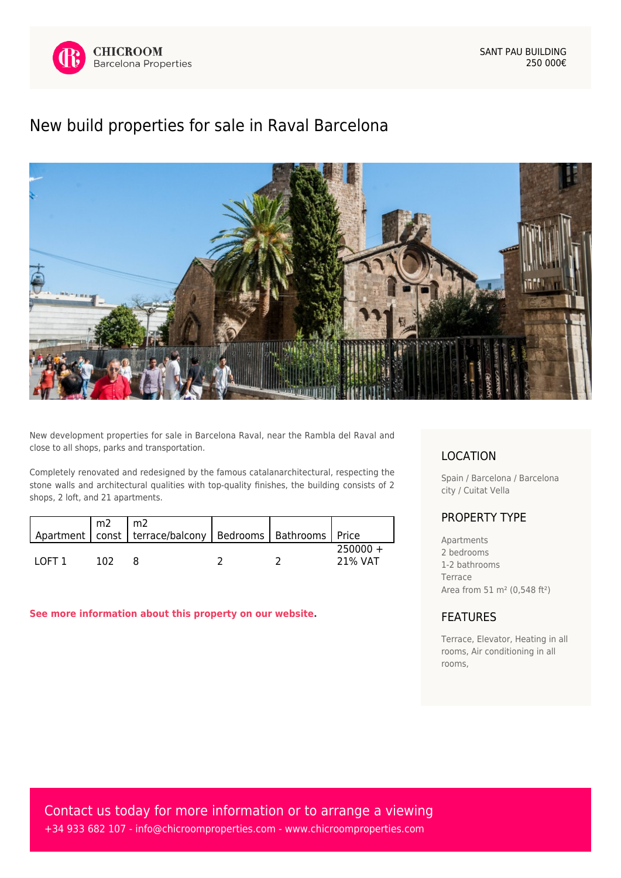

## [New build properties for sale in Raval Barcelona](https://www.chicroomproperties.com/en/property/406/new-build-properties-for-sale-in-raval-barcelona/)



New development properties for sale in Barcelona Raval, near the Rambla del Raval and close to all shops, parks and transportation.

Completely renovated and redesigned by the famous catalanarchitectural, respecting the stone walls and architectural qualities with top-quality finishes, the building consists of 2 shops, 2 loft, and 21 apartments.

|        |     | Apartment   const   terrace/balcony   Bedrooms   Bathrooms   Price |  |                       |
|--------|-----|--------------------------------------------------------------------|--|-----------------------|
| LOET 1 | 102 |                                                                    |  | $250000 +$<br>21% VAT |

**[See more information about this property on our website.](https://www.chicroomproperties.com/en/property/406/new-build-properties-for-sale-in-raval-barcelona/)**

## LOCATION

Spain / Barcelona / Barcelona city / Cuitat Vella

## PROPERTY TYPE

Apartments 2 bedrooms 1-2 bathrooms Terrace Area from 51 m² (0,548 ft²)

## FEATURES

Terrace, Elevator, Heating in all rooms, Air conditioning in all rooms,